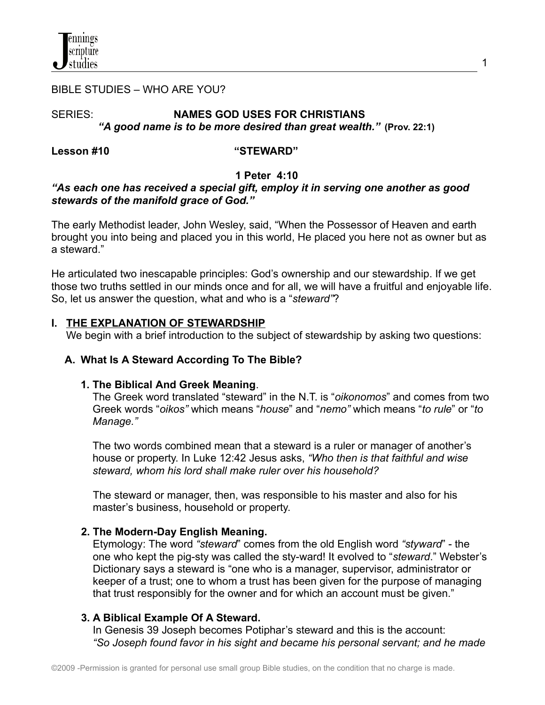

#### BIBLE STUDIES – WHO ARE YOU?

## SERIES: **NAMES GOD USES FOR CHRISTIANS** *"A good name is to be more desired than great wealth."* **(Prov. 22:1)**

### **Lesson #10 "STEWARD"**

#### **1 Peter 4:10**

## *"As each one has received a special gift, employ it in serving one another as good stewards of the manifold grace of God."*

The early Methodist leader, John Wesley, said, "When the Possessor of Heaven and earth brought you into being and placed you in this world, He placed you here not as owner but as a steward."

He articulated two inescapable principles: God's ownership and our stewardship. If we get those two truths settled in our minds once and for all, we will have a fruitful and enjoyable life. So, let us answer the question, what and who is a "*steward"*?

#### **I. THE EXPLANATION OF STEWARDSHIP**

We begin with a brief introduction to the subject of stewardship by asking two questions:

#### **A. What Is A Steward According To The Bible?**

#### **1. The Biblical And Greek Meaning**.

The Greek word translated "steward" in the N.T. is "*oikonomos*" and comes from two Greek words "*oikos"* which means "*house*" and "*nemo"* which means "*to rule*" or "*to Manage."*

The two words combined mean that a steward is a ruler or manager of another's house or property. In Luke 12:42 Jesus asks, *"Who then is that faithful and wise steward, whom his lord shall make ruler over his household?*

The steward or manager, then, was responsible to his master and also for his master's business, household or property.

#### **2. The Modern-Day English Meaning.**

Etymology: The word *"steward*" comes from the old English word *"styward*" - the one who kept the pig-sty was called the sty-ward! It evolved to "*steward*." Webster's Dictionary says a steward is "one who is a manager, supervisor, administrator or keeper of a trust; one to whom a trust has been given for the purpose of managing that trust responsibly for the owner and for which an account must be given."

## **3. A Biblical Example Of A Steward.**

In Genesis 39 Joseph becomes Potiphar's steward and this is the account: *"So Joseph found favor in his sight and became his personal servant; and he made*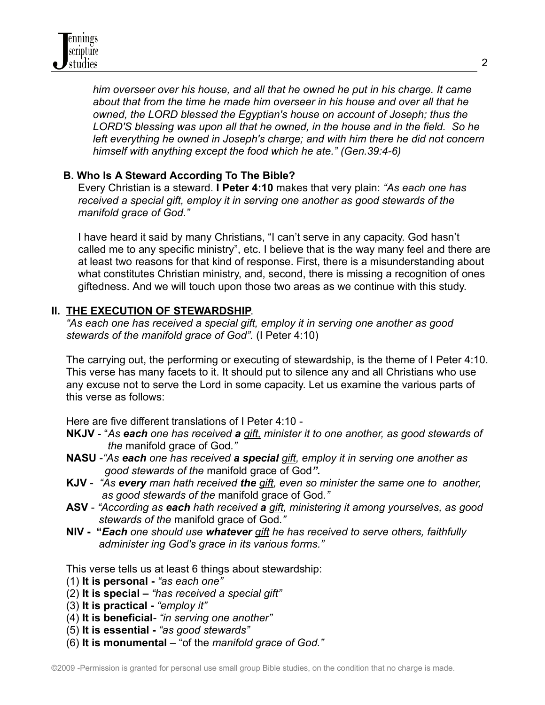*him overseer over his house, and all that he owned he put in his charge. It came about that from the time he made him overseer in his house and over all that he owned, the LORD blessed the Egyptian's house on account of Joseph; thus the LORD'S blessing was upon all that he owned, in the house and in the field. So he left everything he owned in Joseph's charge; and with him there he did not concern himself with anything except the food which he ate." (Gen.39:4-6)*

# **B. Who Is A Steward According To The Bible?**

Every Christian is a steward. **I Peter 4:10** makes that very plain: *"As each one has received a special gift, employ it in serving one another as good stewards of the manifold grace of God."*

I have heard it said by many Christians, "I can't serve in any capacity. God hasn't called me to any specific ministry", etc. I believe that is the way many feel and there are at least two reasons for that kind of response. First, there is a misunderstanding about what constitutes Christian ministry, and, second, there is missing a recognition of ones giftedness. And we will touch upon those two areas as we continue with this study.

# **II. THE EXECUTION OF STEWARDSHIP**.

*"As each one has received a special gift, employ it in serving one another as good stewards of the manifold grace of God".* (I Peter 4:10)

The carrying out, the performing or executing of stewardship, is the theme of I Peter 4:10. This verse has many facets to it. It should put to silence any and all Christians who use any excuse not to serve the Lord in some capacity. Let us examine the various parts of this verse as follows:

Here are five different translations of I Peter 4:10 -

- **NKJV** "*As each one has received a gift, minister it to one another, as good stewards of the* manifold grace of God*."*
- **NASU** -*"As each one has received a special gift, employ it in serving one another as good stewards of the* manifold grace of God*".*
- **KJV** *"As every man hath received the gift, even so minister the same one to another, as good stewards of the* manifold grace of God*."*
- **ASV** *"According as each hath received a gift, ministering it among yourselves, as good stewards of the* manifold grace of God*."*
- **NIV - "***Each one should use whatever gift he has received to serve others, faithfully administer ing God's grace in its various forms."*

This verse tells us at least 6 things about stewardship:

- (1) **It is personal -** *"as each one"*
- (2) **It is special –** *"has received a special gift"*
- (3) **It is practical -** *"employ it"*
- (4) **It is beneficial***- "in serving one another"*
- (5) **It is essential -** *"as good stewards"*
- (6) **It is monumental** "of the *manifold grace of God."*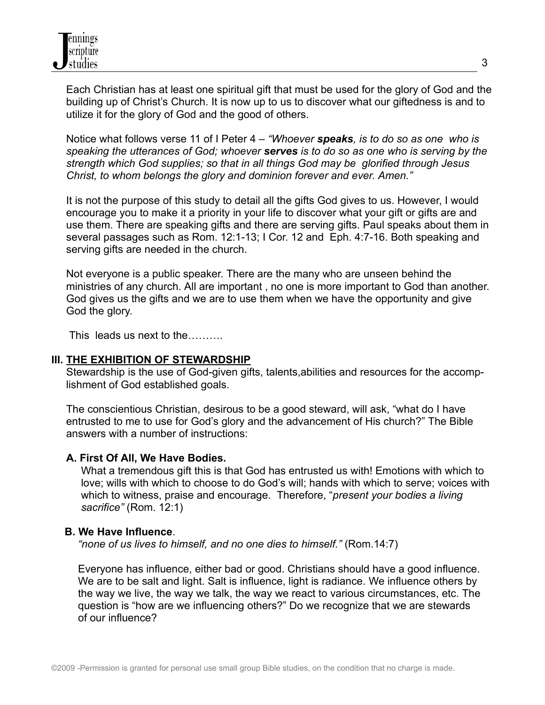Each Christian has at least one spiritual gift that must be used for the glory of God and the building up of Christ's Church. It is now up to us to discover what our giftedness is and to utilize it for the glory of God and the good of others.

Notice what follows verse 11 of I Peter 4 – *"Whoever speaks, is to do so as one who is speaking the utterances of God; whoever serves is to do so as one who is serving by the strength which God supplies; so that in all things God may be glorified through Jesus Christ, to whom belongs the glory and dominion forever and ever. Amen."*

It is not the purpose of this study to detail all the gifts God gives to us. However, I would encourage you to make it a priority in your life to discover what your gift or gifts are and use them. There are speaking gifts and there are serving gifts. Paul speaks about them in several passages such as Rom. 12:1-13; I Cor. 12 and Eph. 4:7-16. Both speaking and serving gifts are needed in the church.

Not everyone is a public speaker. There are the many who are unseen behind the ministries of any church. All are important , no one is more important to God than another. God gives us the gifts and we are to use them when we have the opportunity and give God the glory.

This leads us next to the……….

## **III. THE EXHIBITION OF STEWARDSHIP**

Stewardship is the use of God-given gifts, talents,abilities and resources for the accomplishment of God established goals.

The conscientious Christian, desirous to be a good steward, will ask, "what do I have entrusted to me to use for God's glory and the advancement of His church?" The Bible answers with a number of instructions:

## **A. First Of All, We Have Bodies.**

What a tremendous gift this is that God has entrusted us with! Emotions with which to love; wills with which to choose to do God's will; hands with which to serve; voices with which to witness, praise and encourage. Therefore, "*present your bodies a living sacrifice"* (Rom. 12:1)

## **B. We Have Influence**.

*"none of us lives to himself, and no one dies to himself."* (Rom.14:7)

Everyone has influence, either bad or good. Christians should have a good influence. We are to be salt and light. Salt is influence, light is radiance. We influence others by the way we live, the way we talk, the way we react to various circumstances, etc. The question is "how are we influencing others?" Do we recognize that we are stewards of our influence?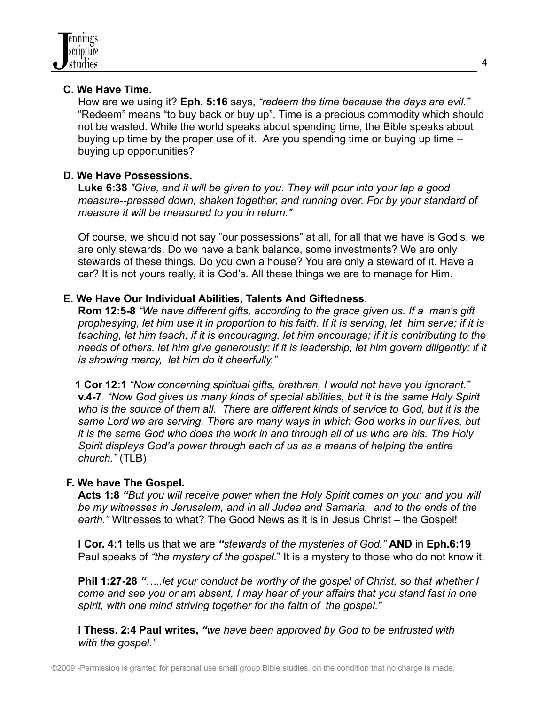## **C. We Have Time.**

How are we using it? **Eph. 5:16** says, *"redeem the time because the days are evil."* "Redeem" means "to buy back or buy up". Time is a precious commodity which should not be wasted. While the world speaks about spending time, the Bible speaks about buying up time by the proper use of it. Are you spending time or buying up time – buying up opportunities?

## **D. We Have Possessions.**

**Luke 6:38** *"Give, and it will be given to you. They will pour into your lap a good measure--pressed down, shaken together, and running over. For by your standard of measure it will be measured to you in return."*

Of course, we should not say "our possessions" at all, for all that we have is God's, we are only stewards. Do we have a bank balance, some investments? We are only stewards of these things. Do you own a house? You are only a steward of it. Have a car? It is not yours really, it is God's. All these things we are to manage for Him.

# **E. We Have Our Individual Abilities, Talents And Giftedness**.

**Rom 12:5-8** *"We have different gifts, according to the grace given us. If a man's gift* prophesying, let him use it in proportion to his faith. If it is serving, let him serve; if it is *teaching, let him teach; if it is encouraging, let him encourage; if it is contributing to the needs of others, let him give generously; if it is leadership, let him govern diligently; if it is showing mercy, let him do it cheerfully."*

**1 Cor 12:1** *"Now concerning spiritual gifts, brethren, I would not have you ignorant."* **v.4-7** *"Now God gives us many kinds of special abilities, but it is the same Holy Spirit who is the source of them all. There are different kinds of service to God, but it is the same Lord we are serving. There are many ways in which God works in our lives, but it is the same God who does the work in and through all of us who are his. The Holy Spirit displays God's power through each of us as a means of helping the entire church."* (TLB)

# **F. We have The Gospel.**

**Acts 1:8** *"But you will receive power when the Holy Spirit comes on you; and you will be my witnesses in Jerusalem, and in all Judea and Samaria, and to the ends of the earth."* Witnesses to what? The Good News as it is in Jesus Christ – the Gospel!

**I Cor. 4:1** tells us that we are *"stewards of the mysteries of God."* **AND** in **Eph.6:19** Paul speaks of *"the mystery of the gospel.*" It is a mystery to those who do not know it.

**Phil 1:27-28** *"…..let your conduct be worthy of the gospel of Christ, so that whether I come and see you or am absent, I may hear of your affairs that you stand fast in one spirit, with one mind striving together for the faith of the gospel."*

**I Thess. 2:4 Paul writes,** *"we have been approved by God to be entrusted with with the gospel."*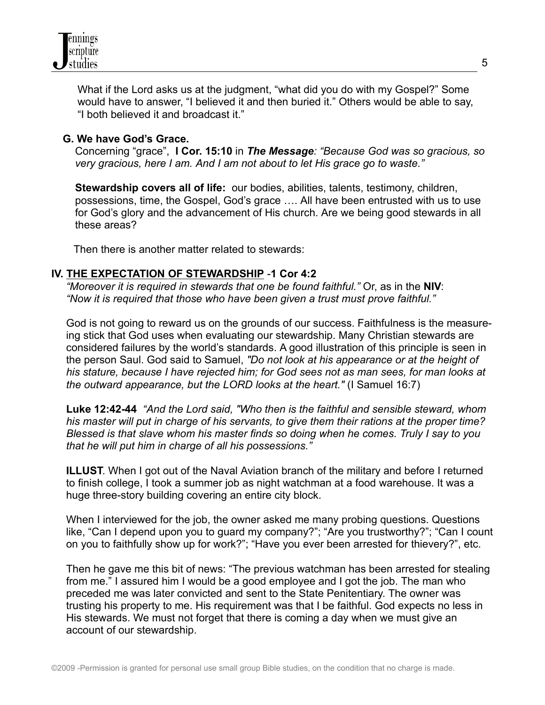

What if the Lord asks us at the judgment, "what did you do with my Gospel?" Some would have to answer, "I believed it and then buried it." Others would be able to say, "I both believed it and broadcast it."

### **G. We have God's Grace.**

Concerning "grace", **I Cor. 15:10** in *The Message: "Because God was so gracious, so very gracious, here I am. And I am not about to let His grace go to waste."*

**Stewardship covers all of life:** our bodies, abilities, talents, testimony, children, possessions, time, the Gospel, God's grace …. All have been entrusted with us to use for God's glory and the advancement of His church. Are we being good stewards in all these areas?

Then there is another matter related to stewards:

### **IV. THE EXPECTATION OF STEWARDSHIP** -**1 Cor 4:2**

*"Moreover it is required in stewards that one be found faithful."* Or, as in the **NIV**: *"Now it is required that those who have been given a trust must prove faithful."*

God is not going to reward us on the grounds of our success. Faithfulness is the measureing stick that God uses when evaluating our stewardship. Many Christian stewards are considered failures by the world's standards. A good illustration of this principle is seen in the person Saul. God said to Samuel, *"Do not look at his appearance or at the height of his stature, because I have rejected him; for God sees not as man sees, for man looks at the outward appearance, but the LORD looks at the heart."* (I Samuel 16:7)

**Luke 12:42-44** *"And the Lord said, "Who then is the faithful and sensible steward, whom his master will put in charge of his servants, to give them their rations at the proper time? Blessed is that slave whom his master finds so doing when he comes. Truly I say to you that he will put him in charge of all his possessions."*

**ILLUST**. When I got out of the Naval Aviation branch of the military and before I returned to finish college, I took a summer job as night watchman at a food warehouse. It was a huge three-story building covering an entire city block.

When I interviewed for the job, the owner asked me many probing questions. Questions like, "Can I depend upon you to guard my company?"; "Are you trustworthy?"; "Can I count on you to faithfully show up for work?"; "Have you ever been arrested for thievery?", etc.

Then he gave me this bit of news: "The previous watchman has been arrested for stealing from me." I assured him I would be a good employee and I got the job. The man who preceded me was later convicted and sent to the State Penitentiary. The owner was trusting his property to me. His requirement was that I be faithful. God expects no less in His stewards. We must not forget that there is coming a day when we must give an account of our stewardship.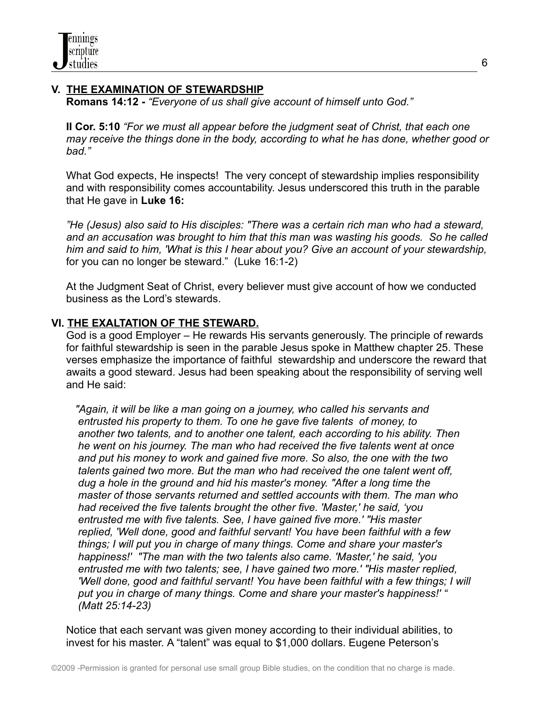# **V. THE EXAMINATION OF STEWARDSHIP**

**Romans 14:12 -** *"Everyone of us shall give account of himself unto God."*

**II Cor. 5:10** *"For we must all appear before the judgment seat of Christ, that each one may receive the things done in the body, according to what he has done, whether good or bad."*

What God expects, He inspects! The very concept of stewardship implies responsibility and with responsibility comes accountability. Jesus underscored this truth in the parable that He gave in **Luke 16:**

*"He (Jesus) also said to His disciples: "There was a certain rich man who had a steward, and an accusation was brought to him that this man was wasting his goods. So he called him and said to him, 'What is this I hear about you? Give an account of your stewardship,* for you can no longer be steward." (Luke 16:1-2)

At the Judgment Seat of Christ, every believer must give account of how we conducted business as the Lord's stewards.

# **VI. THE EXALTATION OF THE STEWARD.**

God is a good Employer – He rewards His servants generously. The principle of rewards for faithful stewardship is seen in the parable Jesus spoke in Matthew chapter 25. These verses emphasize the importance of faithful stewardship and underscore the reward that awaits a good steward. Jesus had been speaking about the responsibility of serving well and He said:

*"Again, it will be like a man going on a journey, who called his servants and entrusted his property to them. To one he gave five talents of money, to another two talents, and to another one talent, each according to his ability. Then he went on his journey. The man who had received the five talents went at once and put his money to work and gained five more. So also, the one with the two talents gained two more. But the man who had received the one talent went off, dug a hole in the ground and hid his master's money. "After a long time the master of those servants returned and settled accounts with them. The man who had received the five talents brought the other five. 'Master,' he said, 'you entrusted me with five talents. See, I have gained five more.' "His master replied, 'Well done, good and faithful servant! You have been faithful with a few things; I will put you in charge of many things. Come and share your master's happiness!' "The man with the two talents also came. 'Master,' he said, 'you entrusted me with two talents; see, I have gained two more.' "His master replied, 'Well done, good and faithful servant! You have been faithful with a few things; I will put you in charge of many things. Come and share your master's happiness!' " (Matt 25:14-23)*

Notice that each servant was given money according to their individual abilities, to invest for his master. A "talent" was equal to \$1,000 dollars. Eugene Peterson's